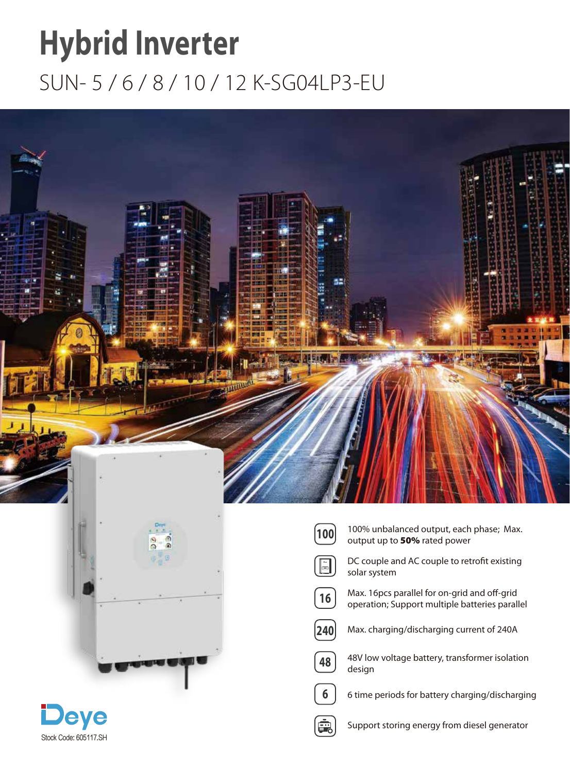## **Hybrid Inverter** SUN- 5 / 6 / 8 / 10 / 12 K-SG04LP3-EU



 $\left[16\right]$ 

 $6\phantom{1}$ 

鷗

**DC AC Normal Alarm**





- 100% unbalanced output, each phase; Max.  $\begin{pmatrix} 1\mathbf{00} & 100\% \end{pmatrix}$  and up to **50%** rated power
	- DC couple and AC couple to retrofit existing solar system
	- Max. 16pcs parallel for on-grid and off-grid operation; Support multiple batteries parallel
- $\sqrt{240}$ Max. charging/discharging current of 240A
- 48 48V low voltage battery, transformer isolation design
	- 6 time periods for battery charging/discharging
	- Support storing energy from diesel generator